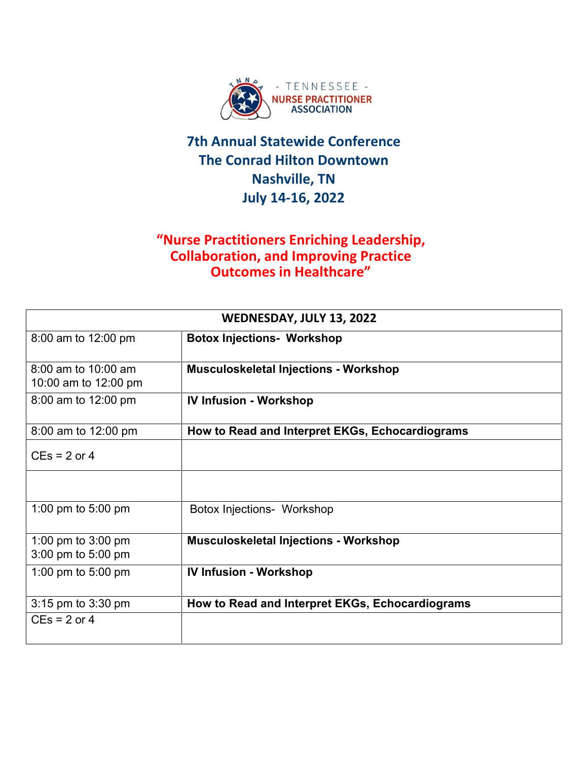

#### **"Nurse Practitioners Enriching Leadership, Collaboration, and Improving Practice Outcomes in Healthcare"**

| WEDNESDAY, JULY 13, 2022                    |                                                 |  |
|---------------------------------------------|-------------------------------------------------|--|
| 8:00 am to 12:00 pm                         | <b>Botox Injections- Workshop</b>               |  |
| 8:00 am to 10:00 am<br>10:00 am to 12:00 pm | <b>Musculoskeletal Injections - Workshop</b>    |  |
| 8:00 am to 12:00 pm                         | <b>IV Infusion - Workshop</b>                   |  |
| 8:00 am to 12:00 pm                         | How to Read and Interpret EKGs, Echocardiograms |  |
| $CEs = 2$ or 4                              |                                                 |  |
|                                             |                                                 |  |
| 1:00 pm to $5:00$ pm                        | <b>Botox Injections- Workshop</b>               |  |
| 1:00 pm to 3:00 pm<br>3:00 pm to 5:00 pm    | <b>Musculoskeletal Injections - Workshop</b>    |  |
| 1:00 pm to $5:00$ pm                        | <b>IV Infusion - Workshop</b>                   |  |
| 3:15 pm to 3:30 pm                          | How to Read and Interpret EKGs, Echocardiograms |  |
| $CEs = 2$ or 4                              |                                                 |  |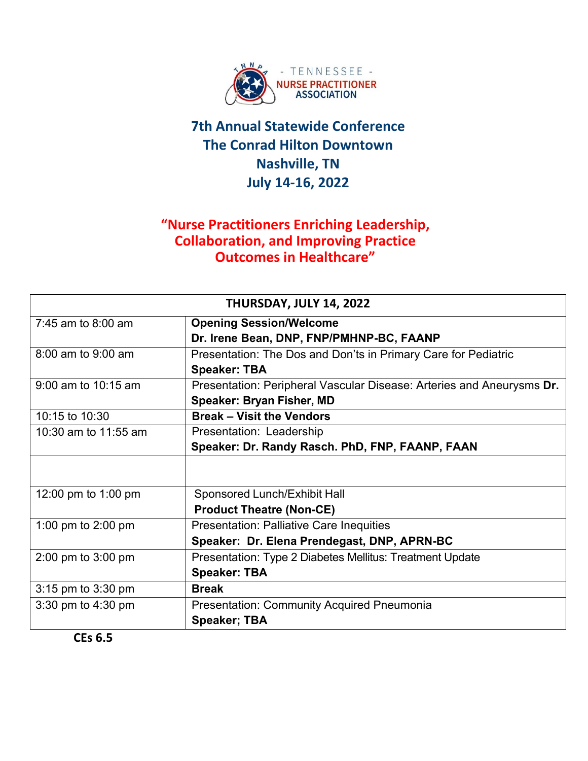

#### **"Nurse Practitioners Enriching Leadership, Collaboration, and Improving Practice Outcomes in Healthcare"**

| THURSDAY, JULY 14, 2022 |                                                                       |  |
|-------------------------|-----------------------------------------------------------------------|--|
| $7:45$ am to $8:00$ am  | <b>Opening Session/Welcome</b>                                        |  |
|                         | Dr. Irene Bean, DNP, FNP/PMHNP-BC, FAANP                              |  |
| 8:00 am to 9:00 am      | Presentation: The Dos and Don'ts in Primary Care for Pediatric        |  |
|                         | <b>Speaker: TBA</b>                                                   |  |
| 9:00 am to 10:15 am     | Presentation: Peripheral Vascular Disease: Arteries and Aneurysms Dr. |  |
|                         | <b>Speaker: Bryan Fisher, MD</b>                                      |  |
| 10:15 to 10:30          | <b>Break - Visit the Vendors</b>                                      |  |
| 10:30 am to 11:55 am    | Presentation: Leadership                                              |  |
|                         | Speaker: Dr. Randy Rasch. PhD, FNP, FAANP, FAAN                       |  |
|                         |                                                                       |  |
| 12:00 pm to 1:00 pm     | Sponsored Lunch/Exhibit Hall                                          |  |
|                         | <b>Product Theatre (Non-CE)</b>                                       |  |
| 1:00 pm to 2:00 pm      | <b>Presentation: Palliative Care Inequities</b>                       |  |
|                         | Speaker: Dr. Elena Prendegast, DNP, APRN-BC                           |  |
| 2:00 pm to 3:00 pm      | Presentation: Type 2 Diabetes Mellitus: Treatment Update              |  |
|                         | <b>Speaker: TBA</b>                                                   |  |
| 3:15 pm to 3:30 pm      | <b>Break</b>                                                          |  |
| 3:30 pm to 4:30 pm      | <b>Presentation: Community Acquired Pneumonia</b>                     |  |
|                         | <b>Speaker; TBA</b>                                                   |  |

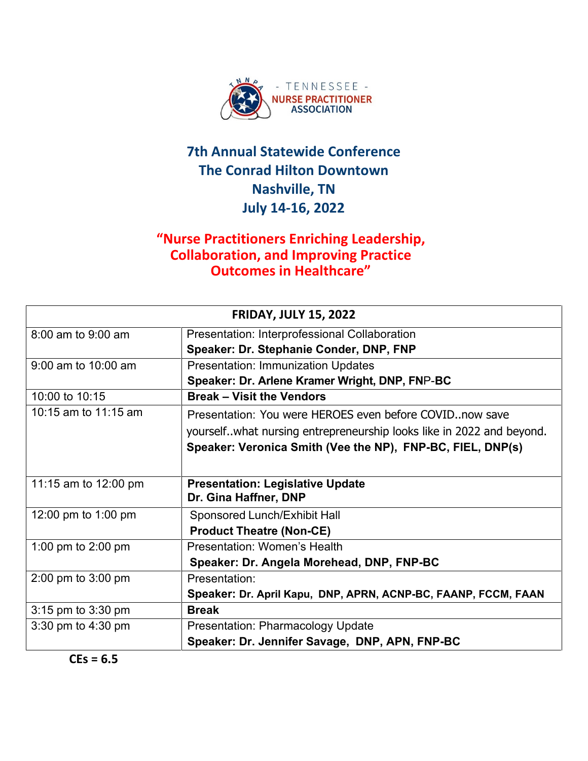

#### **"Nurse Practitioners Enriching Leadership, Collaboration, and Improving Practice Outcomes in Healthcare"**

| <b>FRIDAY, JULY 15, 2022</b> |                                                                        |  |
|------------------------------|------------------------------------------------------------------------|--|
| $8:00$ am to $9:00$ am       | Presentation: Interprofessional Collaboration                          |  |
|                              | Speaker: Dr. Stephanie Conder, DNP, FNP                                |  |
| $9:00$ am to $10:00$ am      | <b>Presentation: Immunization Updates</b>                              |  |
|                              | Speaker: Dr. Arlene Kramer Wright, DNP, FNP-BC                         |  |
| 10:00 to 10:15               | <b>Break - Visit the Vendors</b>                                       |  |
| 10:15 am to $11:15$ am       | Presentation: You were HEROES even before COVIDnow save                |  |
|                              | yourself. what nursing entrepreneurship looks like in 2022 and beyond. |  |
|                              | Speaker: Veronica Smith (Vee the NP), FNP-BC, FIEL, DNP(s)             |  |
|                              |                                                                        |  |
| 11:15 am to 12:00 pm         | <b>Presentation: Legislative Update</b>                                |  |
|                              | Dr. Gina Haffner, DNP                                                  |  |
| 12:00 pm to 1:00 pm          | Sponsored Lunch/Exhibit Hall                                           |  |
|                              | <b>Product Theatre (Non-CE)</b>                                        |  |
| 1:00 pm to 2:00 pm           | <b>Presentation: Women's Health</b>                                    |  |
|                              | Speaker: Dr. Angela Morehead, DNP, FNP-BC                              |  |
| 2:00 pm to 3:00 pm           | Presentation:                                                          |  |
|                              | Speaker: Dr. April Kapu, DNP, APRN, ACNP-BC, FAANP, FCCM, FAAN         |  |
| 3:15 pm to 3:30 pm           | <b>Break</b>                                                           |  |
| 3:30 pm to 4:30 pm           | <b>Presentation: Pharmacology Update</b>                               |  |
|                              | Speaker: Dr. Jennifer Savage, DNP, APN, FNP-BC                         |  |